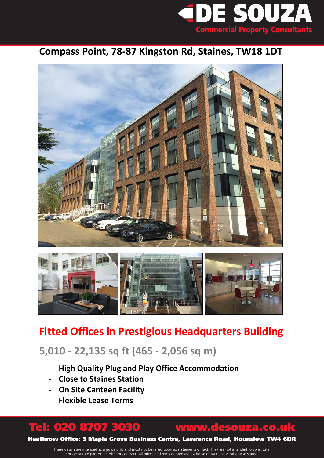

### **Compass Point, 78-87 Kingston Rd, Staines, TW18 1DT**





## **Fitted Offices in Prestigious Headquarters Building**

## **5,010 - 22,135 sq ft (465 - 2,056 sq m)**

- **High Quality Plug and Play Office Accommodation**
- **Close to Staines Station**
- **On Site Canteen Facility**
- **Flexible Lease Terms**

## Tel: 020 8707 3030 www.desouza.co.uk

Heathrow Office: 3 Maple Grove Business Centre, Lawrence Road, Hounslow TW4 6DR

These details are intended as a guide only and must not be relied upon as statements of fact. They are not intended to constitute, nor constitute part of, an offer or contract. All prices and rents quoted are exclusive of VAT unless otherwise stated.